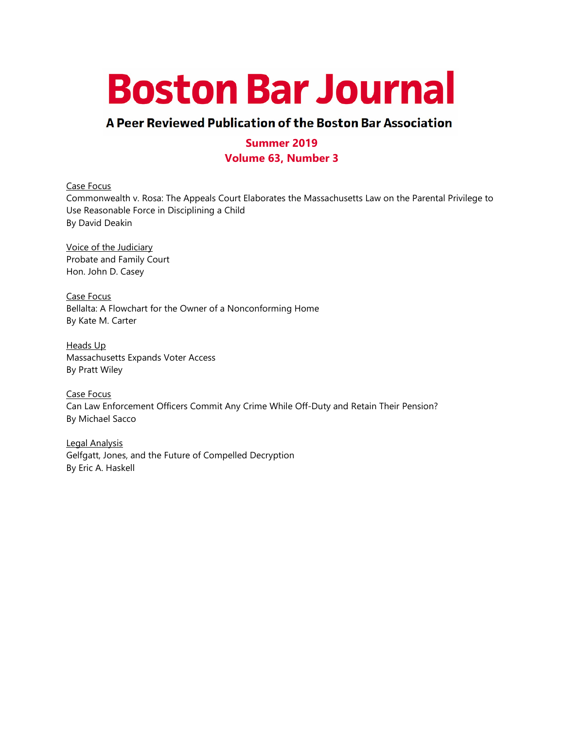# **Boston Bar Journal**

# A Peer Reviewed Publication of the Boston Bar Association

# **Summer 2019 Volume 63, Number 3**

Case Focus Commonwealth v. Rosa: The Appeals Court Elaborates the Massachusetts Law on the Parental Privilege to Use Reasonable Force in Disciplining a Child By David Deakin

Voice of the Judiciary Probate and Family Court Hon. John D. Casey

Case Focus Bellalta: A Flowchart for the Owner of a Nonconforming Home By Kate M. Carter

Heads Up Massachusetts Expands Voter Access By Pratt Wiley

Case Focus Can Law Enforcement Officers Commit Any Crime While Off-Duty and Retain Their Pension? By Michael Sacco

Legal Analysis Gelfgatt, Jones, and the Future of Compelled Decryption By Eric A. Haskell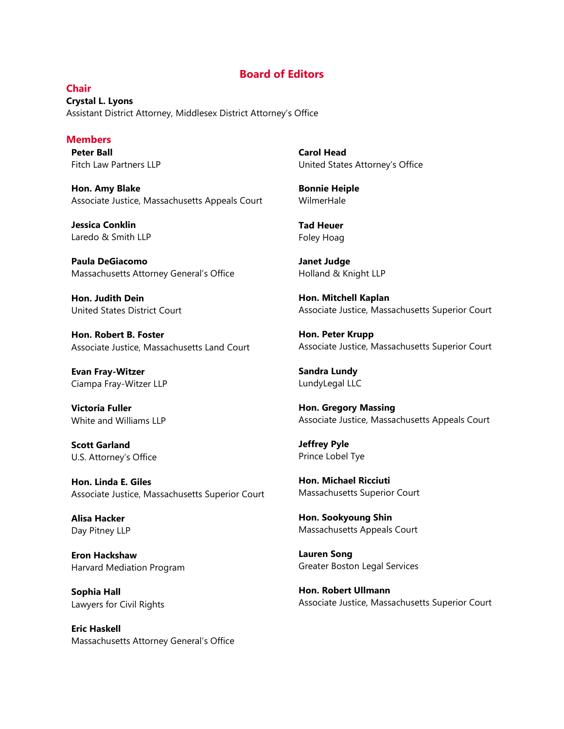#### **Board of Editors**

**Chair Crystal L. Lyons** Assistant District Attorney, Middlesex District Attorney's Office

#### **Members**

**Peter Ball** Fitch Law Partners LLP

**Hon. Amy Blake** Associate Justice, Massachusetts Appeals Court

**Jessica Conklin** Laredo & Smith LLP

**Paula DeGiacomo** Massachusetts Attorney General's Office

**Hon. Judith Dein** United States District Court

**Hon. Robert B. Foster** Associate Justice, Massachusetts Land Court

**Evan Fray-Witzer** Ciampa Fray-Witzer LLP

**Victoria Fuller** White and Williams LLP

**Scott Garland** U.S. Attorney's Office

**Hon. Linda E. Giles** Associate Justice, Massachusetts Superior Court

**Alisa Hacker** Day Pitney LLP

**Eron Hackshaw** Harvard Mediation Program

**Sophia Hall** Lawyers for Civil Rights

**Eric Haskell** Massachusetts Attorney General's Office **Carol Head** United States Attorney's Office

**Bonnie Heiple** WilmerHale

**Tad Heuer** Foley Hoag

**Janet Judge** Holland & Knight LLP

**Hon. Mitchell Kaplan** Associate Justice, Massachusetts Superior Court

**Hon. Peter Krupp** Associate Justice, Massachusetts Superior Court

**Sandra Lundy** LundyLegal LLC

**Hon. Gregory Massing** Associate Justice, Massachusetts Appeals Court

**Jeffrey Pyle** Prince Lobel Tye

**Hon. Michael Ricciuti** Massachusetts Superior Court

**Hon. Sookyoung Shin** Massachusetts Appeals Court

**Lauren Song** Greater Boston Legal Services

**Hon. Robert Ullmann** Associate Justice, Massachusetts Superior Court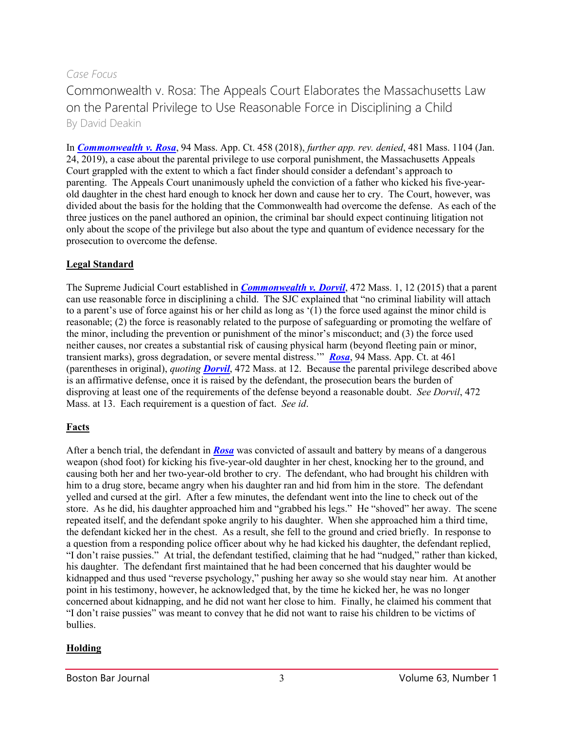# *Case Focus*

Commonwealth v. Rosa: The Appeals Court Elaborates the Massachusetts Law on the Parental Privilege to Use Reasonable Force in Disciplining a Child By David Deakin

In *[Commonwealth v. Rosa](http://masscases.com/cases/app/94/94massappct458.html)*, 94 Mass. App. Ct. 458 (2018), *further app. rev. denied*, 481 Mass. 1104 (Jan. 24, 2019), a case about the parental privilege to use corporal punishment, the Massachusetts Appeals Court grappled with the extent to which a fact finder should consider a defendant's approach to parenting. The Appeals Court unanimously upheld the conviction of a father who kicked his five-yearold daughter in the chest hard enough to knock her down and cause her to cry. The Court, however, was divided about the basis for the holding that the Commonwealth had overcome the defense. As each of the three justices on the panel authored an opinion, the criminal bar should expect continuing litigation not only about the scope of the privilege but also about the type and quantum of evidence necessary for the prosecution to overcome the defense.

## **Legal Standard**

The Supreme Judicial Court established in *[Commonwealth v. Dorvil](http://masscases.com/cases/app/94/94massappct458.html)*, 472 Mass. 1, 12 (2015) that a parent can use reasonable force in disciplining a child. The SJC explained that "no criminal liability will attach to a parent's use of force against his or her child as long as '(1) the force used against the minor child is reasonable; (2) the force is reasonably related to the purpose of safeguarding or promoting the welfare of the minor, including the prevention or punishment of the minor's misconduct; and (3) the force used neither causes, nor creates a substantial risk of causing physical harm (beyond fleeting pain or minor, transient marks), gross degradation, or severe mental distress.'" *[Rosa](http://masscases.com/cases/app/94/94massappct458.html)*, 94 Mass. App. Ct. at 461 (parentheses in original), *quoting [Dorvil](http://masscases.com/cases/sjc/472/472mass1.html)*, 472 Mass. at 12. Because the parental privilege described above is an affirmative defense, once it is raised by the defendant, the prosecution bears the burden of disproving at least one of the requirements of the defense beyond a reasonable doubt. *See Dorvil*, 472 Mass. at 13. Each requirement is a question of fact. *See id*.

# **Facts**

After a bench trial, the defendant in *[Rosa](http://masscases.com/cases/app/94/94massappct458.html)* was convicted of assault and battery by means of a dangerous weapon (shod foot) for kicking his five-year-old daughter in her chest, knocking her to the ground, and causing both her and her two-year-old brother to cry. The defendant, who had brought his children with him to a drug store, became angry when his daughter ran and hid from him in the store. The defendant yelled and cursed at the girl. After a few minutes, the defendant went into the line to check out of the store. As he did, his daughter approached him and "grabbed his legs." He "shoved" her away. The scene repeated itself, and the defendant spoke angrily to his daughter. When she approached him a third time, the defendant kicked her in the chest. As a result, she fell to the ground and cried briefly. In response to a question from a responding police officer about why he had kicked his daughter, the defendant replied, "I don't raise pussies." At trial, the defendant testified, claiming that he had "nudged," rather than kicked, his daughter. The defendant first maintained that he had been concerned that his daughter would be kidnapped and thus used "reverse psychology," pushing her away so she would stay near him. At another point in his testimony, however, he acknowledged that, by the time he kicked her, he was no longer concerned about kidnapping, and he did not want her close to him. Finally, he claimed his comment that "I don't raise pussies" was meant to convey that he did not want to raise his children to be victims of bullies.

### **Holding**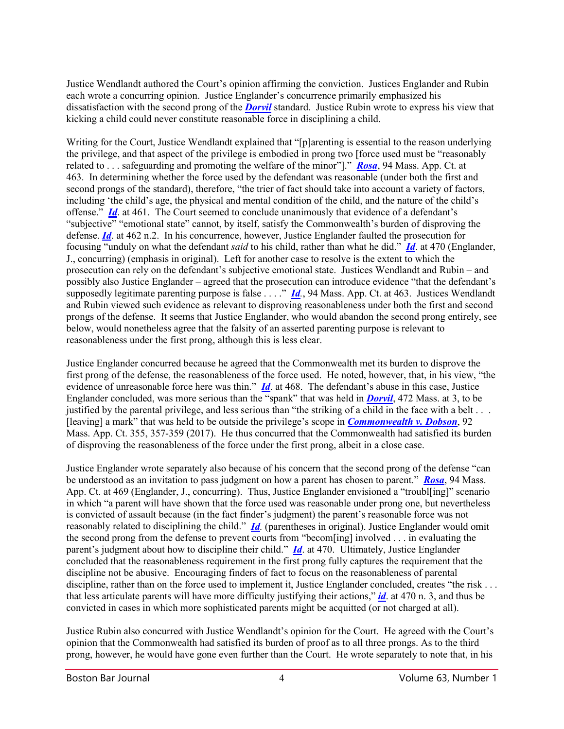Justice Wendlandt authored the Court's opinion affirming the conviction. Justices Englander and Rubin each wrote a concurring opinion. Justice Englander's concurrence primarily emphasized his dissatisfaction with the second prong of the *[Dorvil](http://masscases.com/cases/sjc/472/472mass1.html)* standard. Justice Rubin wrote to express his view that kicking a child could never constitute reasonable force in disciplining a child.

Writing for the Court, Justice Wendlandt explained that "[p]arenting is essential to the reason underlying the privilege, and that aspect of the privilege is embodied in prong two [force used must be "reasonably related to . . . safeguarding and promoting the welfare of the minor"]." *[Rosa](http://masscases.com/cases/app/94/94massappct458.html)*, 94 Mass. App. Ct. at 463. In determining whether the force used by the defendant was reasonable (under both the first and second prongs of the standard), therefore, "the trier of fact should take into account a variety of factors, including 'the child's age, the physical and mental condition of the child, and the nature of the child's offense." *[Id](http://masscases.com/cases/app/94/94massappct458.html).* at 461. The Court seemed to conclude unanimously that evidence of a defendant's "subjective" "emotional state" cannot, by itself, satisfy the Commonwealth's burden of disproving the defense. *[Id](http://masscases.com/cases/app/94/94massappct458.html)*. at 462 n.2. In his concurrence, however, Justice Englander faulted the prosecution for focusing "unduly on what the defendant *said* to his child, rather than what he did." *[Id](http://masscases.com/cases/app/94/94massappct458.html)*. at 470 (Englander, J., concurring) (emphasis in original). Left for another case to resolve is the extent to which the prosecution can rely on the defendant's subjective emotional state. Justices Wendlandt and Rubin – and possibly also Justice Englander – agreed that the prosecution can introduce evidence "that the defendant's supposedly legitimate parenting purpose is false . . . ." *[Id](http://masscases.com/cases/app/94/94massappct458.html).*, 94 Mass. App. Ct. at 463. Justices Wendlandt and Rubin viewed such evidence as relevant to disproving reasonableness under both the first and second prongs of the defense. It seems that Justice Englander, who would abandon the second prong entirely, see below, would nonetheless agree that the falsity of an asserted parenting purpose is relevant to reasonableness under the first prong, although this is less clear.

Justice Englander concurred because he agreed that the Commonwealth met its burden to disprove the first prong of the defense, the reasonableness of the force used. He noted, however, that, in his view, "the evidence of unreasonable force here was thin." *[Id](http://masscases.com/cases/app/94/94massappct458.html)*. at 468. The defendant's abuse in this case, Justice Englander concluded, was more serious than the "spank" that was held in *[Dorvil](http://masscases.com/cases/sjc/472/472mass1.html)*, 472 Mass. at 3, to be justified by the parental privilege, and less serious than "the striking of a child in the face with a belt . . . [leaving] a mark" that was held to be outside the privilege's scope in *[Commonwealth v. Dobson](http://masscases.com/cases/app/92/92massappct355.html)*, 92 Mass. App. Ct. 355, 357-359 (2017). He thus concurred that the Commonwealth had satisfied its burden of disproving the reasonableness of the force under the first prong, albeit in a close case.

Justice Englander wrote separately also because of his concern that the second prong of the defense "can be understood as an invitation to pass judgment on how a parent has chosen to parent." *[Rosa](http://masscases.com/cases/app/94/94massappct458.html)*, 94 Mass. App. Ct. at 469 (Englander, J., concurring). Thus, Justice Englander envisioned a "troubl[ing]" scenario in which "a parent will have shown that the force used was reasonable under prong one, but nevertheless is convicted of assault because (in the fact finder's judgment) the parent's reasonable force was not reasonably related to disciplining the child." *[Id](http://masscases.com/cases/app/94/94massappct458.html).* (parentheses in original). Justice Englander would omit the second prong from the defense to prevent courts from "becom[ing] involved . . . in evaluating the parent's judgment about how to discipline their child." *[Id](http://masscases.com/cases/app/94/94massappct458.html)*. at 470. Ultimately, Justice Englander concluded that the reasonableness requirement in the first prong fully captures the requirement that the discipline not be abusive. Encouraging finders of fact to focus on the reasonableness of parental discipline, rather than on the force used to implement it, Justice Englander concluded, creates "the risk . . . that less articulate parents will have more difficulty justifying their actions," *[id](http://masscases.com/cases/app/94/94massappct458.html)*. at 470 n. 3, and thus be convicted in cases in which more sophisticated parents might be acquitted (or not charged at all).

Justice Rubin also concurred with Justice Wendlandt's opinion for the Court. He agreed with the Court's opinion that the Commonwealth had satisfied its burden of proof as to all three prongs. As to the third prong, however, he would have gone even further than the Court. He wrote separately to note that, in his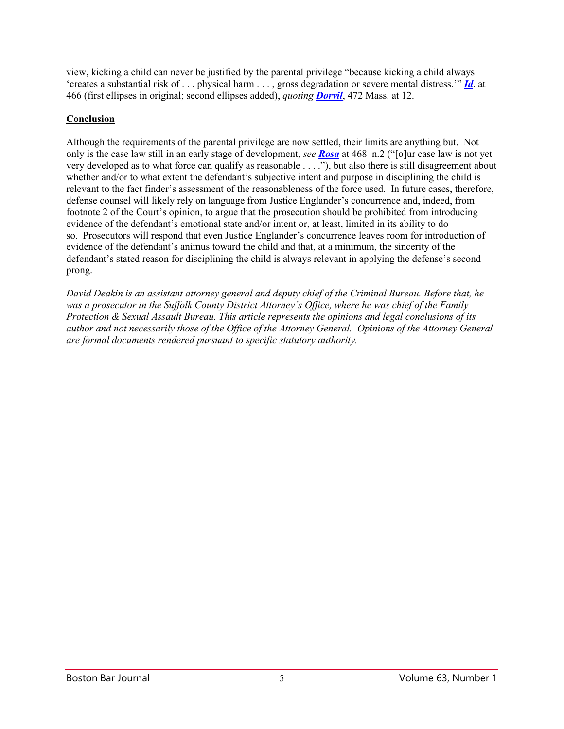view, kicking a child can never be justified by the parental privilege "because kicking a child always 'creates a substantial risk of . . . physical harm . . . , gross degradation or severe mental distress.'" *[Id](http://masscases.com/cases/app/94/94massappct458.html)*. at 466 (first ellipses in original; second ellipses added), *quoting [Dorvil](http://masscases.com/cases/sjc/472/472mass1.html)*, 472 Mass. at 12.

## **Conclusion**

Although the requirements of the parental privilege are now settled, their limits are anything but. Not only is the case law still in an early stage of development, *see [Rosa](http://masscases.com/cases/app/94/94massappct458.html)* at 468 n.2 ("[o]ur case law is not yet very developed as to what force can qualify as reasonable . . . ."), but also there is still disagreement about whether and/or to what extent the defendant's subjective intent and purpose in disciplining the child is relevant to the fact finder's assessment of the reasonableness of the force used. In future cases, therefore, defense counsel will likely rely on language from Justice Englander's concurrence and, indeed, from footnote 2 of the Court's opinion, to argue that the prosecution should be prohibited from introducing evidence of the defendant's emotional state and/or intent or, at least, limited in its ability to do so. Prosecutors will respond that even Justice Englander's concurrence leaves room for introduction of evidence of the defendant's animus toward the child and that, at a minimum, the sincerity of the defendant's stated reason for disciplining the child is always relevant in applying the defense's second prong.

*David Deakin is an assistant attorney general and deputy chief of the Criminal Bureau. Before that, he was a prosecutor in the Suffolk County District Attorney's Office, where he was chief of the Family Protection & Sexual Assault Bureau. This article represents the opinions and legal conclusions of its author and not necessarily those of the Office of the Attorney General. Opinions of the Attorney General are formal documents rendered pursuant to specific statutory authority.*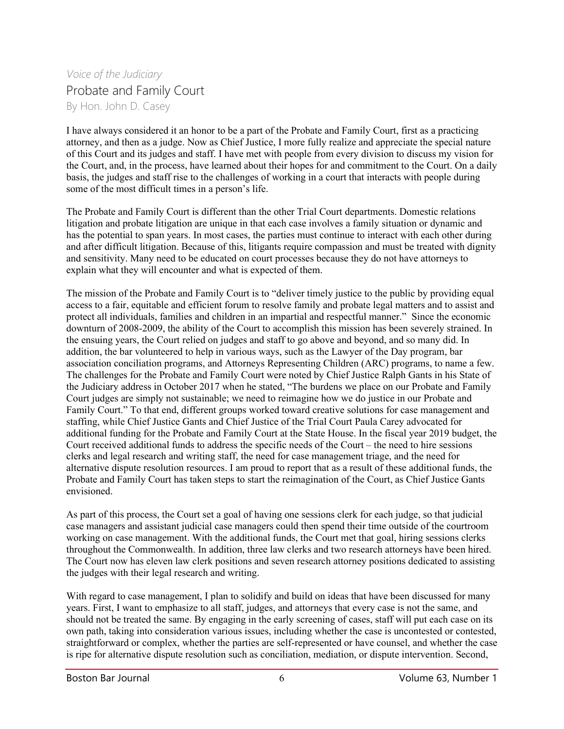# *Voice of the Judiciary* Probate and Family Court By Hon. John D. Casey

I have always considered it an honor to be a part of the Probate and Family Court, first as a practicing attorney, and then as a judge. Now as Chief Justice, I more fully realize and appreciate the special nature of this Court and its judges and staff. I have met with people from every division to discuss my vision for the Court, and, in the process, have learned about their hopes for and commitment to the Court. On a daily basis, the judges and staff rise to the challenges of working in a court that interacts with people during some of the most difficult times in a person's life.

The Probate and Family Court is different than the other Trial Court departments. Domestic relations litigation and probate litigation are unique in that each case involves a family situation or dynamic and has the potential to span years. In most cases, the parties must continue to interact with each other during and after difficult litigation. Because of this, litigants require compassion and must be treated with dignity and sensitivity. Many need to be educated on court processes because they do not have attorneys to explain what they will encounter and what is expected of them.

The mission of the Probate and Family Court is to "deliver timely justice to the public by providing equal access to a fair, equitable and efficient forum to resolve family and probate legal matters and to assist and protect all individuals, families and children in an impartial and respectful manner." Since the economic downturn of 2008-2009, the ability of the Court to accomplish this mission has been severely strained. In the ensuing years, the Court relied on judges and staff to go above and beyond, and so many did. In addition, the bar volunteered to help in various ways, such as the Lawyer of the Day program, bar association conciliation programs, and Attorneys Representing Children (ARC) programs, to name a few. The challenges for the Probate and Family Court were noted by Chief Justice Ralph Gants in his State of the Judiciary address in October 2017 when he stated, "The burdens we place on our Probate and Family Court judges are simply not sustainable; we need to reimagine how we do justice in our Probate and Family Court." To that end, different groups worked toward creative solutions for case management and staffing, while Chief Justice Gants and Chief Justice of the Trial Court Paula Carey advocated for additional funding for the Probate and Family Court at the State House. In the fiscal year 2019 budget, the Court received additional funds to address the specific needs of the Court – the need to hire sessions clerks and legal research and writing staff, the need for case management triage, and the need for alternative dispute resolution resources. I am proud to report that as a result of these additional funds, the Probate and Family Court has taken steps to start the reimagination of the Court, as Chief Justice Gants envisioned.

As part of this process, the Court set a goal of having one sessions clerk for each judge, so that judicial case managers and assistant judicial case managers could then spend their time outside of the courtroom working on case management. With the additional funds, the Court met that goal, hiring sessions clerks throughout the Commonwealth. In addition, three law clerks and two research attorneys have been hired. The Court now has eleven law clerk positions and seven research attorney positions dedicated to assisting the judges with their legal research and writing.

With regard to case management, I plan to solidify and build on ideas that have been discussed for many years. First, I want to emphasize to all staff, judges, and attorneys that every case is not the same, and should not be treated the same. By engaging in the early screening of cases, staff will put each case on its own path, taking into consideration various issues, including whether the case is uncontested or contested, straightforward or complex, whether the parties are self-represented or have counsel, and whether the case is ripe for alternative dispute resolution such as conciliation, mediation, or dispute intervention. Second,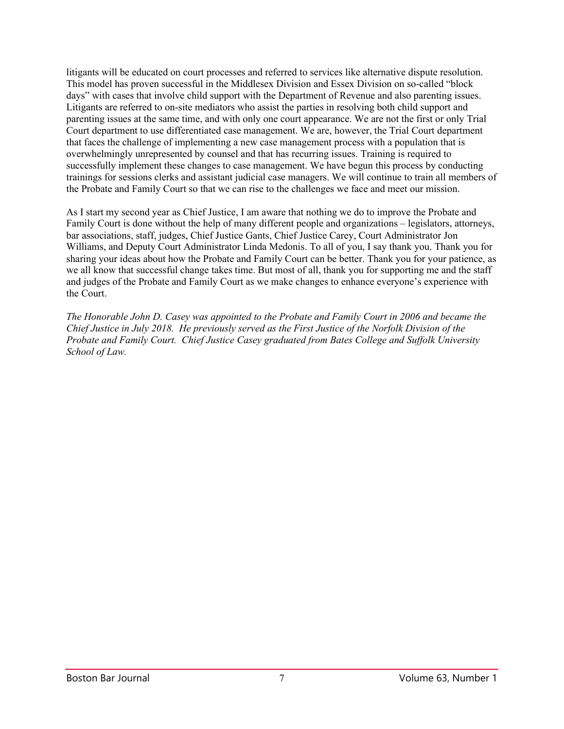litigants will be educated on court processes and referred to services like alternative dispute resolution. This model has proven successful in the Middlesex Division and Essex Division on so-called "block days" with cases that involve child support with the Department of Revenue and also parenting issues. Litigants are referred to on-site mediators who assist the parties in resolving both child support and parenting issues at the same time, and with only one court appearance. We are not the first or only Trial Court department to use differentiated case management. We are, however, the Trial Court department that faces the challenge of implementing a new case management process with a population that is overwhelmingly unrepresented by counsel and that has recurring issues. Training is required to successfully implement these changes to case management. We have begun this process by conducting trainings for sessions clerks and assistant judicial case managers. We will continue to train all members of the Probate and Family Court so that we can rise to the challenges we face and meet our mission.

As I start my second year as Chief Justice, I am aware that nothing we do to improve the Probate and Family Court is done without the help of many different people and organizations – legislators, attorneys, bar associations, staff, judges, Chief Justice Gants, Chief Justice Carey, Court Administrator Jon Williams, and Deputy Court Administrator Linda Medonis. To all of you, I say thank you. Thank you for sharing your ideas about how the Probate and Family Court can be better. Thank you for your patience, as we all know that successful change takes time. But most of all, thank you for supporting me and the staff and judges of the Probate and Family Court as we make changes to enhance everyone's experience with the Court.

*The Honorable John D. Casey was appointed to the Probate and Family Court in 2006 and became the Chief Justice in July 2018. He previously served as the First Justice of the Norfolk Division of the Probate and Family Court. Chief Justice Casey graduated from Bates College and Suffolk University School of Law.*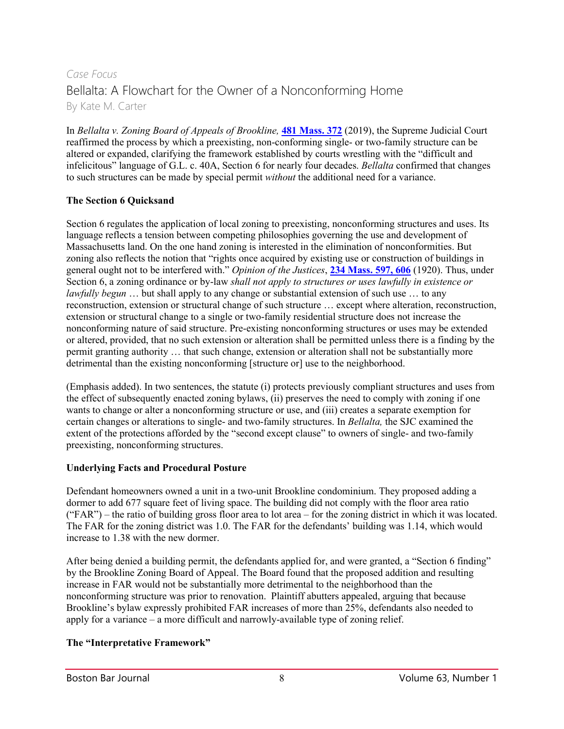# *Case Focus* Bellalta: A Flowchart for the Owner of a Nonconforming Home By Kate M. Carter

In *Bellalta v. Zoning Board of Appeals of Brookline*, **[481 Mass. 372](http://masscases.com/cases/sjc/481/481mass372.html)** (2019), the Supreme Judicial Court reaffirmed the process by which a preexisting, non-conforming single- or two-family structure can be altered or expanded, clarifying the framework established by courts wrestling with the "difficult and infelicitous" language of G.L. c. 40A, Section 6 for nearly four decades. *Bellalta* confirmed that changes to such structures can be made by special permit *without* the additional need for a variance.

### **The Section 6 Quicksand**

Section 6 regulates the application of local zoning to preexisting, nonconforming structures and uses. Its language reflects a tension between competing philosophies governing the use and development of Massachusetts land. On the one hand zoning is interested in the elimination of nonconformities. But zoning also reflects the notion that "rights once acquired by existing use or construction of buildings in general ought not to be interfered with." *Opinion of the Justices*, **[234 Mass. 597, 606](https://casetext.com/case/opinion-of-the-justices-to-the-house-2)** (1920). Thus, under Section 6, a zoning ordinance or by-law *shall not apply to structures or uses lawfully in existence or lawfully begun* ... but shall apply to any change or substantial extension of such use ... to any reconstruction, extension or structural change of such structure … except where alteration, reconstruction, extension or structural change to a single or two-family residential structure does not increase the nonconforming nature of said structure. Pre-existing nonconforming structures or uses may be extended or altered, provided, that no such extension or alteration shall be permitted unless there is a finding by the permit granting authority … that such change, extension or alteration shall not be substantially more detrimental than the existing nonconforming [structure or] use to the neighborhood.

(Emphasis added). In two sentences, the statute (i) protects previously compliant structures and uses from the effect of subsequently enacted zoning bylaws, (ii) preserves the need to comply with zoning if one wants to change or alter a nonconforming structure or use, and (iii) creates a separate exemption for certain changes or alterations to single- and two-family structures. In *Bellalta,* the SJC examined the extent of the protections afforded by the "second except clause" to owners of single- and two-family preexisting, nonconforming structures.

### **Underlying Facts and Procedural Posture**

Defendant homeowners owned a unit in a two-unit Brookline condominium. They proposed adding a dormer to add 677 square feet of living space. The building did not comply with the floor area ratio ("FAR") – the ratio of building gross floor area to lot area – for the zoning district in which it was located. The FAR for the zoning district was 1.0. The FAR for the defendants' building was 1.14, which would increase to 1.38 with the new dormer.

After being denied a building permit, the defendants applied for, and were granted, a "Section 6 finding" by the Brookline Zoning Board of Appeal. The Board found that the proposed addition and resulting increase in FAR would not be substantially more detrimental to the neighborhood than the nonconforming structure was prior to renovation. Plaintiff abutters appealed, arguing that because Brookline's bylaw expressly prohibited FAR increases of more than 25%, defendants also needed to apply for a variance – a more difficult and narrowly-available type of zoning relief.

# **The "Interpretative Framework"**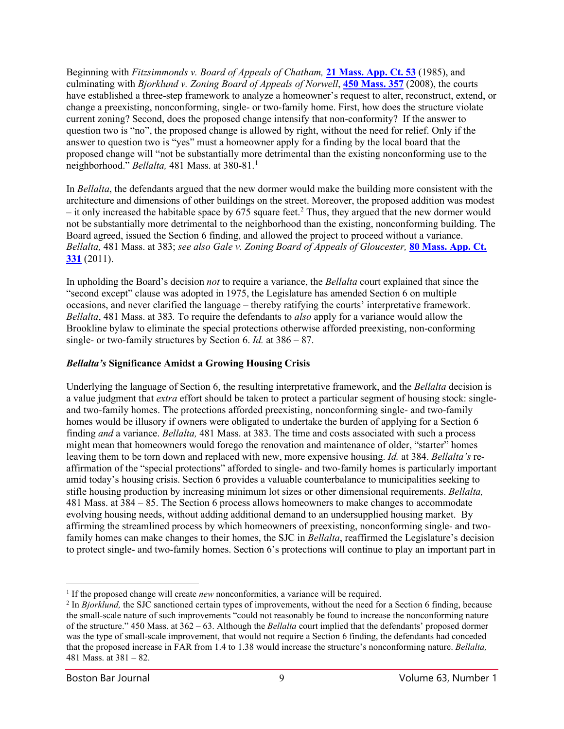Beginning with *Fitzsimmonds v. Board of Appeals of Chatham,* **[21 Mass. App. Ct. 53](http://masscases.com/cases/app/21/21massappct53.html)** (1985), and culminating with *Bjorklund v. Zoning Board of Appeals of Norwell*, **[450 Mass. 357](http://masscases.com/cases/sjc/450/450mass357.html)** (2008), the courts have established a three-step framework to analyze a homeowner's request to alter, reconstruct, extend, or change a preexisting, nonconforming, single- or two-family home. First, how does the structure violate current zoning? Second, does the proposed change intensify that non-conformity? If the answer to question two is "no", the proposed change is allowed by right, without the need for relief. Only if the answer to question two is "yes" must a homeowner apply for a finding by the local board that the proposed change will "not be substantially more detrimental than the existing nonconforming use to the neighborhood." *Bellalta,* 481 Mass. at 380-81.[1](#page-8-0)

In *Bellalta*, the defendants argued that the new dormer would make the building more consistent with the architecture and dimensions of other buildings on the street. Moreover, the proposed addition was modest  $-$  it only increased the habitable space by 675 square feet.<sup>2</sup> Thus, they argued that the new dormer would not be substantially more detrimental to the neighborhood than the existing, nonconforming building. The Board agreed, issued the Section 6 finding, and allowed the project to proceed without a variance. *Bellalta,* 481 Mass. at 383; *see also Gale v. Zoning Board of Appeals of Gloucester,* **[80 Mass. App. Ct.](http://masscases.com/cases/app/80/80massappct331.html)  [331](http://masscases.com/cases/app/80/80massappct331.html)** (2011).

In upholding the Board's decision *not* to require a variance, the *Bellalta* court explained that since the "second except" clause was adopted in 1975, the Legislature has amended Section 6 on multiple occasions, and never clarified the language – thereby ratifying the courts' interpretative framework. *Bellalta*, 481 Mass. at 383*.* To require the defendants to *also* apply for a variance would allow the Brookline bylaw to eliminate the special protections otherwise afforded preexisting, non-conforming single- or two-family structures by Section 6. *Id.* at 386 – 87.

#### *Bellalta's* **Significance Amidst a Growing Housing Crisis**

Underlying the language of Section 6, the resulting interpretative framework, and the *Bellalta* decision is a value judgment that *extra* effort should be taken to protect a particular segment of housing stock: singleand two-family homes. The protections afforded preexisting, nonconforming single- and two-family homes would be illusory if owners were obligated to undertake the burden of applying for a Section 6 finding *and* a variance. *Bellalta,* 481 Mass. at 383. The time and costs associated with such a process might mean that homeowners would forego the renovation and maintenance of older, "starter" homes leaving them to be torn down and replaced with new, more expensive housing. *Id.* at 384. *Bellalta's* reaffirmation of the "special protections" afforded to single- and two-family homes is particularly important amid today's housing crisis. Section 6 provides a valuable counterbalance to municipalities seeking to stifle housing production by increasing minimum lot sizes or other dimensional requirements. *Bellalta,*  481 Mass. at 384 – 85. The Section 6 process allows homeowners to make changes to accommodate evolving housing needs, without adding additional demand to an undersupplied housing market. By affirming the streamlined process by which homeowners of preexisting, nonconforming single- and twofamily homes can make changes to their homes, the SJC in *Bellalta*, reaffirmed the Legislature's decision to protect single- and two-family homes. Section 6's protections will continue to play an important part in

<span id="page-8-0"></span><sup>&</sup>lt;sup>1</sup> If the proposed change will create *new* nonconformities, a variance will be required.

<span id="page-8-1"></span><sup>2</sup> In *Bjorklund,* the SJC sanctioned certain types of improvements, without the need for a Section 6 finding, because the small-scale nature of such improvements "could not reasonably be found to increase the nonconforming nature of the structure." 450 Mass. at 362 – 63. Although the *Bellalta* court implied that the defendants' proposed dormer was the type of small-scale improvement, that would not require a Section 6 finding, the defendants had conceded that the proposed increase in FAR from 1.4 to 1.38 would increase the structure's nonconforming nature. *Bellalta,*  481 Mass. at 381 – 82.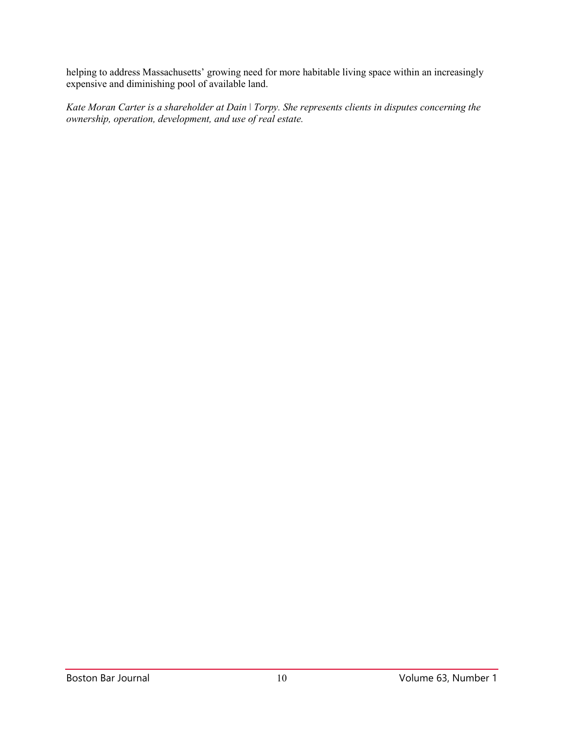helping to address Massachusetts' growing need for more habitable living space within an increasingly expensive and diminishing pool of available land.

*Kate Moran Carter is a shareholder at Dain \ Torpy. She represents clients in disputes concerning the ownership, operation, development, and use of real estate.*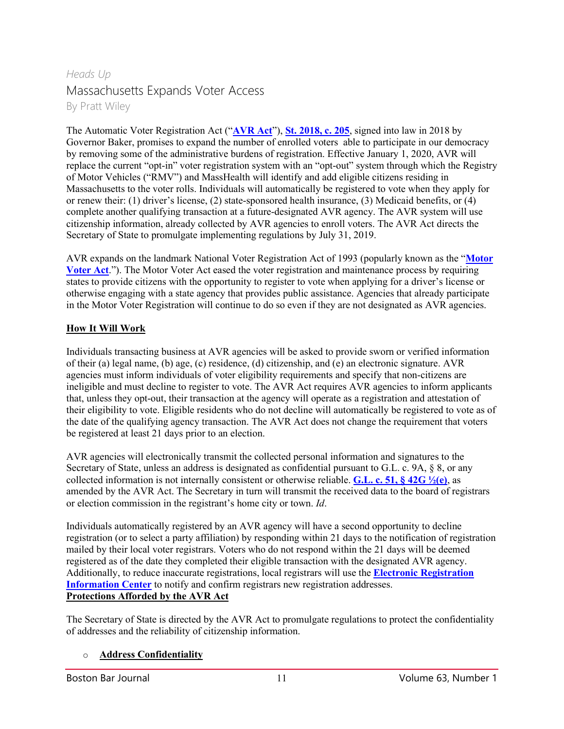# *Heads Up* Massachusetts Expands Voter Access By Pratt Wiley

The Automatic Voter Registration Act ("**[AVR Act](https://malegislature.gov/Laws/SessionLaws/Acts/2018/Chapter205)**"), **[St. 2018, c. 205](https://malegislature.gov/Laws/SessionLaws/Acts/2018/Chapter205)**, signed into law in 2018 by Governor Baker, promises to expand the number of enrolled voters able to participate in our democracy by removing some of the administrative burdens of registration. Effective January 1, 2020, AVR will replace the current "opt-in" voter registration system with an "opt-out" system through which the Registry of Motor Vehicles ("RMV") and MassHealth will identify and add eligible citizens residing in Massachusetts to the voter rolls. Individuals will automatically be registered to vote when they apply for or renew their: (1) driver's license, (2) state-sponsored health insurance, (3) Medicaid benefits, or (4) complete another qualifying transaction at a future-designated AVR agency. The AVR system will use citizenship information, already collected by AVR agencies to enroll voters. The AVR Act directs the Secretary of State to promulgate implementing regulations by July 31, 2019.

AVR expands on the landmark National Voter Registration Act of 1993 (popularly known as the "**[Motor](https://www.law.cornell.edu/uscode/text/52/20506)  [Voter Act](https://www.law.cornell.edu/uscode/text/52/20506)**."). The Motor Voter Act eased the voter registration and maintenance process by requiring states to provide citizens with the opportunity to register to vote when applying for a driver's license or otherwise engaging with a state agency that provides public assistance. Agencies that already participate in the Motor Voter Registration will continue to do so even if they are not designated as AVR agencies.

### **How It Will Work**

Individuals transacting business at AVR agencies will be asked to provide sworn or verified information of their (a) legal name, (b) age, (c) residence, (d) citizenship, and (e) an electronic signature. AVR agencies must inform individuals of voter eligibility requirements and specify that non-citizens are ineligible and must decline to register to vote. The AVR Act requires AVR agencies to inform applicants that, unless they opt-out, their transaction at the agency will operate as a registration and attestation of their eligibility to vote. Eligible residents who do not decline will automatically be registered to vote as of the date of the qualifying agency transaction. The AVR Act does not change the requirement that voters be registered at least 21 days prior to an election.

AVR agencies will electronically transmit the collected personal information and signatures to the Secretary of State, unless an address is designated as confidential pursuant to G.L. c. 9A, § 8, or any collected information is not internally consistent or otherwise reliable. **[G.L. c. 51, § 42G ½\(e\)](https://malegislature.gov/Laws/SessionLaws/Acts/2018/Chapter205)**, as amended by the AVR Act. The Secretary in turn will transmit the received data to the board of registrars or election commission in the registrant's home city or town. *Id*.

Individuals automatically registered by an AVR agency will have a second opportunity to decline registration (or to select a party affiliation) by responding within 21 days to the notification of registration mailed by their local voter registrars. Voters who do not respond within the 21 days will be deemed registered as of the date they completed their eligible transaction with the designated AVR agency. Additionally, to reduce inaccurate registrations, local registrars will use the **[Electronic Registration](https://ericstates.org/)  [Information Center](https://ericstates.org/)** to notify and confirm registrars new registration addresses. **Protections Afforded by the AVR Act**

The Secretary of State is directed by the AVR Act to promulgate regulations to protect the confidentiality of addresses and the reliability of citizenship information.

#### o **Address Confidentiality**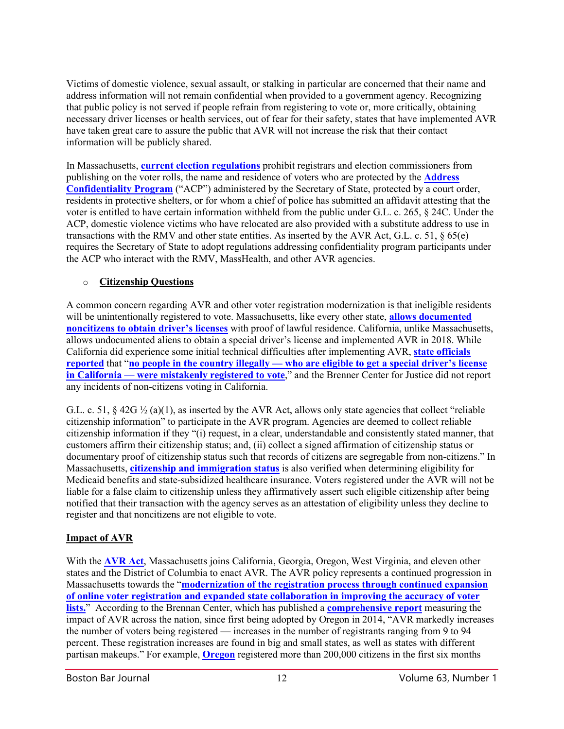Victims of domestic violence, sexual assault, or stalking in particular are concerned that their name and address information will not remain confidential when provided to a government agency. Recognizing that public policy is not served if people refrain from registering to vote or, more critically, obtaining necessary driver licenses or health services, out of fear for their safety, states that have implemented AVR have taken great care to assure the public that AVR will not increase the risk that their contact information will be publicly shared.

In Massachusetts, **[current election regulations](https://www.mass.gov/files/documents/2017/09/13/950cmr49.pdf)** prohibit registrars and election commissioners from publishing on the voter rolls, the name and residence of voters who are protected by the **[Address](https://www.sec.state.ma.us/acp/acphowto.htm#acp1)  [Confidentiality Program](https://www.sec.state.ma.us/acp/acphowto.htm#acp1)** ("ACP") administered by the Secretary of State, protected by a court order, residents in protective shelters, or for whom a chief of police has submitted an affidavit attesting that the voter is entitled to have certain information withheld from the public under G.L. c. 265, § 24C. Under the ACP, domestic violence victims who have relocated are also provided with a substitute address to use in transactions with the RMV and other state entities. As inserted by the AVR Act, G.L. c. 51, § 65(e) requires the Secretary of State to adopt regulations addressing confidentiality program participants under the ACP who interact with the RMV, MassHealth, and other AVR agencies.

## o **Citizenship Questions**

A common concern regarding AVR and other voter registration modernization is that ineligible residents will be unintentionally registered to vote. Massachusetts, like every other state, **[allows documented](https://www.mass.gov/regulations/540-CMR-23-licensing-certification-and-operating-requirements-for-professional-driving)  [noncitizens to obtain driver's licenses](https://www.mass.gov/regulations/540-CMR-23-licensing-certification-and-operating-requirements-for-professional-driving)** with proof of lawful residence. California, unlike Massachusetts, allows undocumented aliens to obtain a special driver's license and implemented AVR in 2018. While California did experience some initial technical difficulties after implementing AVR, **[state officials](https://www.latimes.com/politics/la-pol-ca-dmv-voter-registration-error-20180905-story.html)  [reported](https://www.latimes.com/politics/la-pol-ca-dmv-voter-registration-error-20180905-story.html)** that "**no people in the country illegally — [who are eligible to get a special driver's license](https://www.latimes.com/politics/la-pol-ca-dmv-voter-registration-error-20180905-story.html)  in California — [were mistakenly registered to vote](https://www.latimes.com/politics/la-pol-ca-dmv-voter-registration-error-20180905-story.html)**," and the Brenner Center for Justice did not report any incidents of non-citizens voting in California.

G.L. c. 51,  $\S$  42G  $\frac{1}{2}$  (a)(1), as inserted by the AVR Act, allows only state agencies that collect "reliable" citizenship information" to participate in the AVR program. Agencies are deemed to collect reliable citizenship information if they "(i) request, in a clear, understandable and consistently stated manner, that customers affirm their citizenship status; and, (ii) collect a signed affirmation of citizenship status or documentary proof of citizenship status such that records of citizens are segregable from non-citizens." In Massachusetts, **[citizenship and immigration status](https://www.masslegalservices.org/system/files/library/Understanding%20eligibility%20of%20non-citizens%20Mar%202018.pdf)** is also verified when determining eligibility for Medicaid benefits and state-subsidized healthcare insurance. Voters registered under the AVR will not be liable for a false claim to citizenship unless they affirmatively assert such eligible citizenship after being notified that their transaction with the agency serves as an attestation of eligibility unless they decline to register and that noncitizens are not eligible to vote.

# **Impact of AVR**

With the **[AVR Act](https://malegislature.gov/Laws/SessionLaws/Acts/2018/Chapter205)**, Massachusetts joins California, Georgia, Oregon, West Virginia, and eleven other states and the District of Columbia to enact AVR. The AVR policy represents a continued progression in Massachusetts towards the "**[modernization of the registration process through continued expansion](http://web.mit.edu/supportthevoter/www/files/2014/01/Amer-Voting-Exper-final-draft-01-09-14-508.pdf)  [of online voter registration and expanded state collaboration in improving the accuracy of voter](http://web.mit.edu/supportthevoter/www/files/2014/01/Amer-Voting-Exper-final-draft-01-09-14-508.pdf)  [lists.](http://web.mit.edu/supportthevoter/www/files/2014/01/Amer-Voting-Exper-final-draft-01-09-14-508.pdf)**" According to the Brennan Center, which has published a **[comprehensive report](https://www.brennancenter.org/sites/default/files/publications/2019_04_AVR_Report_Final_0.pdf)** measuring the impact of AVR across the nation, since first being adopted by Oregon in 2014, "AVR markedly increases the number of voters being registered — increases in the number of registrants ranging from 9 to 94 percent. These registration increases are found in big and small states, as well as states with different partisan makeups." For example, **[Oregon](https://www.brennancenter.org/analysis/vrm-states-oregon)** registered more than 200,000 citizens in the first six months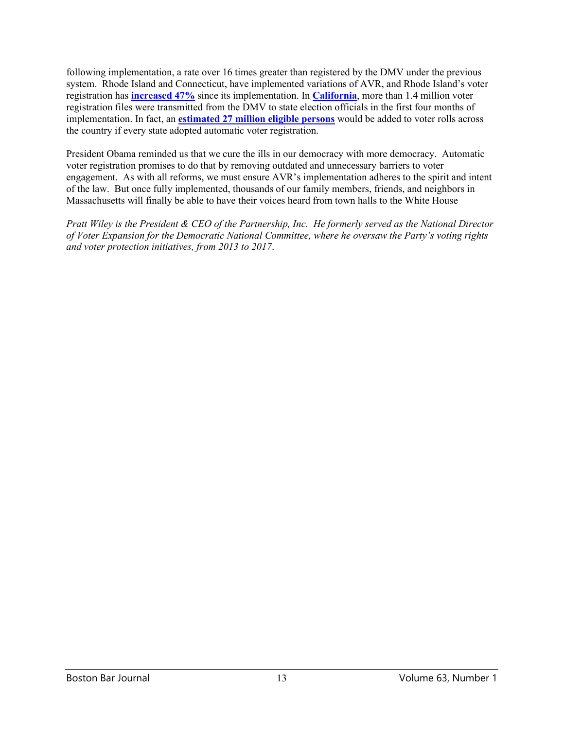following implementation, a rate over 16 times greater than registered by the DMV under the previous system. Rhode Island and Connecticut, have implemented variations of AVR, and Rhode Island's voter registration has **[increased 47%](https://www.brennancenter.org/sites/default/files/publications/2019_04_AVR_Report_Final_0.pdf)** since its implementation. In **[California](https://www.latimes.com/politics/la-pol-ca-dmv-voter-registration-error-20180905-story.html)**, more than 1.4 million voter registration files were transmitted from the DMV to state election officials in the first four months of implementation. In fact, an **[estimated 27 million eligible persons](https://www.demos.org/research/automatic-voter-registration-finding-americas-missing-voters)** would be added to voter rolls across the country if every state adopted automatic voter registration.

President Obama reminded us that we cure the ills in our democracy with more democracy. Automatic voter registration promises to do that by removing outdated and unnecessary barriers to voter engagement. As with all reforms, we must ensure AVR's implementation adheres to the spirit and intent of the law. But once fully implemented, thousands of our family members, friends, and neighbors in Massachusetts will finally be able to have their voices heard from town halls to the White House

*Pratt Wiley is the President & CEO of the Partnership, Inc. He formerly served as the National Director of Voter Expansion for the Democratic National Committee, where he oversaw the Party's voting rights and voter protection initiatives, from 2013 to 2017*.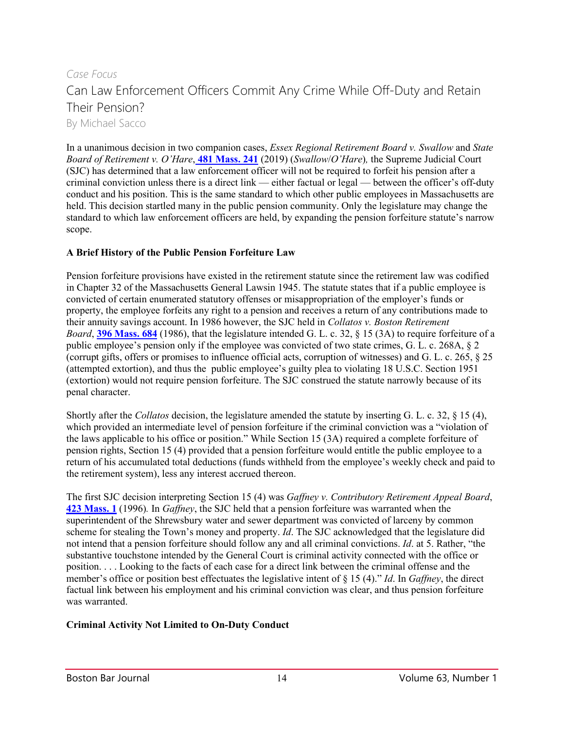# *Case Focus* Can Law Enforcement Officers Commit Any Crime While Off-Duty and Retain Their Pension? By Michael Sacco

In a unanimous decision in two companion cases, *Essex Regional Retirement Board v. Swallow* and *State Board of Retirement v. O'Hare*, **[481 Mass. 241](http://masscases.com/cases/sjc/481/481mass241.html)** (2019) (*Swallow*/*O'Hare*)*,* the Supreme Judicial Court (SJC) has determined that a law enforcement officer will not be required to forfeit his pension after a criminal conviction unless there is a direct link — either factual or legal — between the officer's off-duty conduct and his position. This is the same standard to which other public employees in Massachusetts are held. This decision startled many in the public pension community. Only the legislature may change the standard to which law enforcement officers are held, by expanding the pension forfeiture statute's narrow scope.

#### **A Brief History of the Public Pension Forfeiture Law**

Pension forfeiture provisions have existed in the retirement statute since the retirement law was codified in Chapter 32 of the Massachusetts General Lawsin 1945. The statute states that if a public employee is convicted of certain enumerated statutory offenses or misappropriation of the employer's funds or property, the employee forfeits any right to a pension and receives a return of any contributions made to their annuity savings account. In 1986 however, the SJC held in *Collatos v. Boston Retirement Board*, **[396 Mass. 684](http://sll.gvpi.net/document.php?field=jd&value=sjcapp:396_mass._684)** (1986), that the legislature intended G. L. c. 32, § 15 (3A) to require forfeiture of a public employee's pension only if the employee was convicted of two state crimes, G. L. c. 268A, § 2 (corrupt gifts, offers or promises to influence official acts, corruption of witnesses) and G. L. c. 265, § 25 (attempted extortion), and thus the public employee's guilty plea to violating 18 U.S.C. Section 1951 (extortion) would not require pension forfeiture. The SJC construed the statute narrowly because of its penal character.

Shortly after the *Collatos* decision, the legislature amended the statute by inserting G. L. c. 32, § 15 (4), which provided an intermediate level of pension forfeiture if the criminal conviction was a "violation of the laws applicable to his office or position." While Section 15 (3A) required a complete forfeiture of pension rights, Section 15 (4) provided that a pension forfeiture would entitle the public employee to a return of his accumulated total deductions (funds withheld from the employee's weekly check and paid to the retirement system), less any interest accrued thereon.

The first SJC decision interpreting Section 15 (4) was *Gaffney v. Contributory Retirement Appeal Board*[,](http://masscases.com/cases/sjc/423/423mass1.html) **[423 Mass. 1](http://masscases.com/cases/sjc/423/423mass1.html)** (1996)*.* In *Gaffney*, the SJC held that a pension forfeiture was warranted when the superintendent of the Shrewsbury water and sewer department was convicted of larceny by common scheme for stealing the Town's money and property. *Id*. The SJC acknowledged that the legislature did not intend that a pension forfeiture should follow any and all criminal convictions. *Id*. at 5. Rather, "the substantive touchstone intended by the General Court is criminal activity connected with the office or position. . . . Looking to the facts of each case for a direct link between the criminal offense and the member's office or position best effectuates the legislative intent of § 15 (4)." *Id*. In *Gaffney*, the direct factual link between his employment and his criminal conviction was clear, and thus pension forfeiture was warranted.

### **Criminal Activity Not Limited to On-Duty Conduct**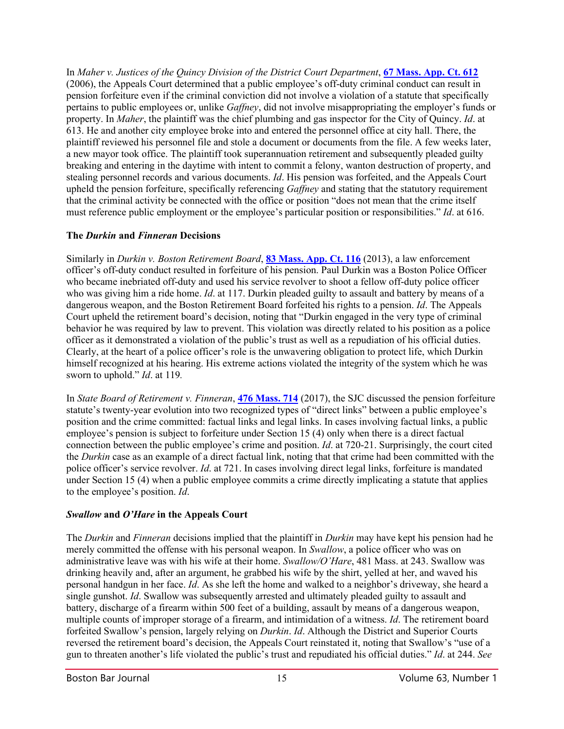In *Maher v. Justices of the Quincy Division of the District Court Department*, **[67 Mass. App. Ct. 612](http://masscases.com/cases/app/67/67massappct612.html)** (2006), the Appeals Court determined that a public employee's off-duty criminal conduct can result in pension forfeiture even if the criminal conviction did not involve a violation of a statute that specifically pertains to public employees or, unlike *Gaffney*, did not involve misappropriating the employer's funds or property. In *Maher*, the plaintiff was the chief plumbing and gas inspector for the City of Quincy. *Id*. at 613. He and another city employee broke into and entered the personnel office at city hall. There, the plaintiff reviewed his personnel file and stole a document or documents from the file. A few weeks later, a new mayor took office. The plaintiff took superannuation retirement and subsequently pleaded guilty breaking and entering in the daytime with intent to commit a felony, wanton destruction of property, and stealing personnel records and various documents. *Id*. His pension was forfeited, and the Appeals Court upheld the pension forfeiture, specifically referencing *Gaffney* and stating that the statutory requirement that the criminal activity be connected with the office or position "does not mean that the crime itself must reference public employment or the employee's particular position or responsibilities." *Id*. at 616.

### **The** *Durkin* **and** *Finneran* **Decisions**

Similarly in *Durkin v. Boston Retirement Board*, **[83 Mass. App. Ct. 116](http://masscases.com/cases/app/83/83massappct116.html)** (2013), a law enforcement officer's off-duty conduct resulted in forfeiture of his pension. Paul Durkin was a Boston Police Officer who became inebriated off-duty and used his service revolver to shoot a fellow off-duty police officer who was giving him a ride home. *Id*. at 117. Durkin pleaded guilty to assault and battery by means of a dangerous weapon, and the Boston Retirement Board forfeited his rights to a pension. *Id*. The Appeals Court upheld the retirement board's decision, noting that "Durkin engaged in the very type of criminal behavior he was required by law to prevent. This violation was directly related to his position as a police officer as it demonstrated a violation of the public's trust as well as a repudiation of his official duties. Clearly, at the heart of a police officer's role is the unwavering obligation to protect life, which Durkin himself recognized at his hearing. His extreme actions violated the integrity of the system which he was sworn to uphold." *Id*. at 119*.*

In *State Board of Retirement v. Finneran*, **[476 Mass. 714](http://masscases.com/cases/sjc/476/476mass714.html)** (2017), the SJC discussed the pension forfeiture statute's twenty-year evolution into two recognized types of "direct links" between a public employee's position and the crime committed: factual links and legal links. In cases involving factual links, a public employee's pension is subject to forfeiture under Section 15 (4) only when there is a direct factual connection between the public employee's crime and position. *Id*. at 720-21. Surprisingly, the court cited the *Durkin* case as an example of a direct factual link, noting that that crime had been committed with the police officer's service revolver. *Id*. at 721. In cases involving direct legal links, forfeiture is mandated under Section 15 (4) when a public employee commits a crime directly implicating a statute that applies to the employee's position. *Id*.

# *Swallow* **and** *O'Hare* **in the Appeals Court**

The *Durkin* and *Finneran* decisions implied that the plaintiff in *Durkin* may have kept his pension had he merely committed the offense with his personal weapon. In *Swallow*, a police officer who was on administrative leave was with his wife at their home. *Swallow/O'Hare*, 481 Mass. at 243. Swallow was drinking heavily and, after an argument, he grabbed his wife by the shirt, yelled at her, and waved his personal handgun in her face. *Id*. As she left the home and walked to a neighbor's driveway, she heard a single gunshot. *Id*. Swallow was subsequently arrested and ultimately pleaded guilty to assault and battery, discharge of a firearm within 500 feet of a building, assault by means of a dangerous weapon, multiple counts of improper storage of a firearm, and intimidation of a witness. *Id*. The retirement board forfeited Swallow's pension, largely relying on *Durkin*. *Id*. Although the District and Superior Courts reversed the retirement board's decision, the Appeals Court reinstated it, noting that Swallow's "use of a gun to threaten another's life violated the public's trust and repudiated his official duties." *Id*. at 244. *See*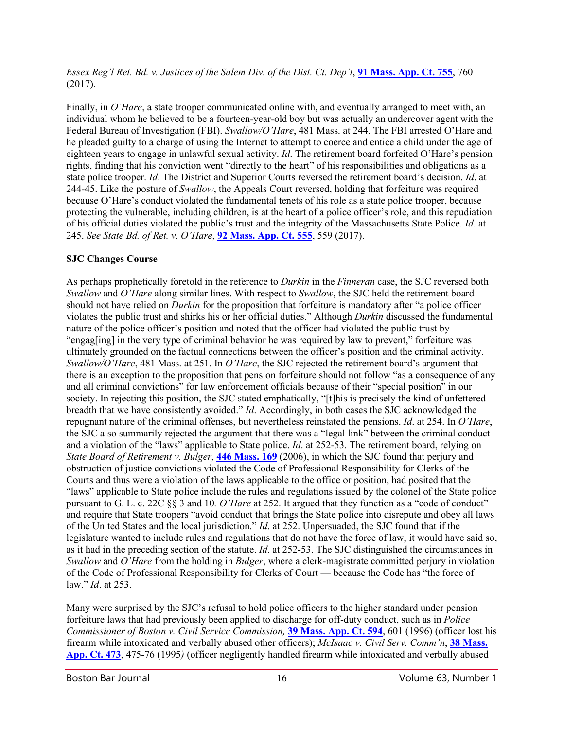*Essex Reg'l Ret. Bd. v. Justices of the Salem Div. of the Dist. Ct. Dep't*, **[91 Mass. App. Ct. 755](http://sll.gvpi.net/document.php?id=sjcapp:app17zb-5)**, 760 (2017).

Finally, in *O'Hare*, a state trooper communicated online with, and eventually arranged to meet with, an individual whom he believed to be a fourteen-year-old boy but was actually an undercover agent with the Federal Bureau of Investigation (FBI). *Swallow/O'Hare*, 481 Mass. at 244. The FBI arrested O'Hare and he pleaded guilty to a charge of using the Internet to attempt to coerce and entice a child under the age of eighteen years to engage in unlawful sexual activity. *Id*. The retirement board forfeited O'Hare's pension rights, finding that his conviction went "directly to the heart" of his responsibilities and obligations as a state police trooper. *Id*. The District and Superior Courts reversed the retirement board's decision. *Id*. at 244-45. Like the posture of *Swallow*, the Appeals Court reversed, holding that forfeiture was required because O'Hare's conduct violated the fundamental tenets of his role as a state police trooper, because protecting the vulnerable, including children, is at the heart of a police officer's role, and this repudiation of his official duties violated the public's trust and the integrity of the Massachusetts State Police. *Id*. at 245. *See State Bd. of Ret. v. O'Hare*, **[92 Mass. App. Ct. 555](http://sll.gvpi.net/document.php?id=sjcapp:app18r-2)**, 559 (2017).

## **SJC Changes Course**

As perhaps prophetically foretold in the reference to *Durkin* in the *Finneran* case, the SJC reversed both *Swallow* and *O'Hare* along similar lines. With respect to *Swallow*, the SJC held the retirement board should not have relied on *Durkin* for the proposition that forfeiture is mandatory after "a police officer violates the public trust and shirks his or her official duties." Although *Durkin* discussed the fundamental nature of the police officer's position and noted that the officer had violated the public trust by "engag[ing] in the very type of criminal behavior he was required by law to prevent," forfeiture was ultimately grounded on the factual connections between the officer's position and the criminal activity. *Swallow/O'Hare*, 481 Mass. at 251. In *O'Hare*, the SJC rejected the retirement board's argument that there is an exception to the proposition that pension forfeiture should not follow "as a consequence of any and all criminal convictions" for law enforcement officials because of their "special position" in our society. In rejecting this position, the SJC stated emphatically, "[t]his is precisely the kind of unfettered breadth that we have consistently avoided." *Id*. Accordingly, in both cases the SJC acknowledged the repugnant nature of the criminal offenses, but nevertheless reinstated the pensions. *Id*. at 254. In *O'Hare*, the SJC also summarily rejected the argument that there was a "legal link" between the criminal conduct and a violation of the "laws" applicable to State police. *Id*. at 252-53. The retirement board, relying on *State Board of Retirement v. Bulger*, **[446 Mass. 169](http://masscases.com/cases/sjc/446/446mass169.html)** (2006), in which the SJC found that perjury and obstruction of justice convictions violated the Code of Professional Responsibility for Clerks of the Courts and thus were a violation of the laws applicable to the office or position, had posited that the "laws" applicable to State police include the rules and regulations issued by the colonel of the State police pursuant to G. L. c. 22C §§ 3 and 10*. O'Hare* at 252. It argued that they function as a "code of conduct" and require that State troopers "avoid conduct that brings the State police into disrepute and obey all laws of the United States and the local jurisdiction." *Id*. at 252. Unpersuaded, the SJC found that if the legislature wanted to include rules and regulations that do not have the force of law, it would have said so, as it had in the preceding section of the statute. *Id*. at 252-53. The SJC distinguished the circumstances in *Swallow* and *O'Hare* from the holding in *Bulger*, where a clerk-magistrate committed perjury in violation of the Code of Professional Responsibility for Clerks of Court — because the Code has "the force of law." *Id*. at 253.

Many were surprised by the SJC's refusal to hold police officers to the higher standard under pension forfeiture laws that had previously been applied to discharge for off-duty conduct, such as in *Police Commissioner of Boston v. Civil Service Commission,* **[39 Mass. App. Ct. 594](http://sll.gvpi.net/document.php?field=jd&value=sjcapp:39_mass._app._ct._594)**, 601 (1996) (officer lost his firearm while intoxicated and verbally abused other officers); *McIsaac v. Civil Serv. Comm'n*, **[38 Mass.](http://sll.gvpi.net/document.php?field=jd&value=sjcapp:38_mass._app._ct._473)  [App. Ct. 473](http://sll.gvpi.net/document.php?field=jd&value=sjcapp:38_mass._app._ct._473)**, 475-76 (1995*)* (officer negligently handled firearm while intoxicated and verbally abused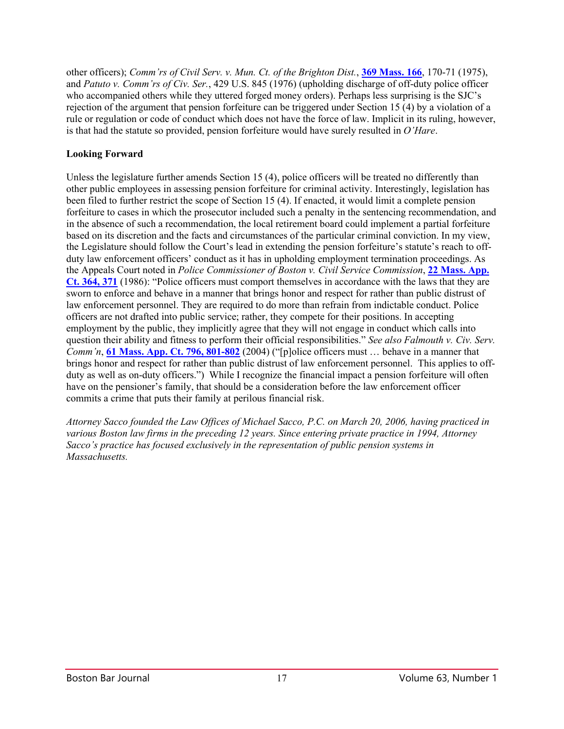other officers); *Comm'rs of Civil Serv. v. Mun. Ct. of the Brighton Dist.*, **[369 Mass. 166](http://sll.gvpi.net/document.php?field=jd&value=sjcapp:369_mass._166)**, 170-71 (1975), and *Patuto v. Comm'rs of Civ. Ser.*, 429 U.S. 845 (1976) (upholding discharge of off-duty police officer who accompanied others while they uttered forged money orders). Perhaps less surprising is the SJC's rejection of the argument that pension forfeiture can be triggered under Section 15 (4) by a violation of a rule or regulation or code of conduct which does not have the force of law. Implicit in its ruling, however, is that had the statute so provided, pension forfeiture would have surely resulted in *O'Hare*.

### **Looking Forward**

Unless the legislature further amends Section 15 (4), police officers will be treated no differently than other public employees in assessing pension forfeiture for criminal activity. Interestingly, legislation has been filed to further restrict the scope of Section 15 (4). If enacted, it would limit a complete pension forfeiture to cases in which the prosecutor included such a penalty in the sentencing recommendation, and in the absence of such a recommendation, the local retirement board could implement a partial forfeiture based on its discretion and the facts and circumstances of the particular criminal conviction. In my view, the Legislature should follow the Court's lead in extending the pension forfeiture's statute's reach to offduty law enforcement officers' conduct as it has in upholding employment termination proceedings. As the Appeals Court noted in *Police Commissioner of Boston v. Civil Service Commission*, **[22 Mass. App.](http://masscases.com/cases/app/22/22massappct364.html)  [Ct. 364, 371](http://masscases.com/cases/app/22/22massappct364.html)** (1986): "Police officers must comport themselves in accordance with the laws that they are sworn to enforce and behave in a manner that brings honor and respect for rather than public distrust of law enforcement personnel. They are required to do more than refrain from indictable conduct. Police officers are not drafted into public service; rather, they compete for their positions. In accepting employment by the public, they implicitly agree that they will not engage in conduct which calls into question their ability and fitness to perform their official responsibilities." *See also Falmouth v. Civ. Serv. Comm'n*, **[61 Mass. App. Ct. 796, 801-802](http://masscases.com/cases/app/61/61massappct796.html)** (2004) ("[p]olice officers must … behave in a manner that brings honor and respect for rather than public distrust of law enforcement personnel. This applies to offduty as well as on-duty officers.") While I recognize the financial impact a pension forfeiture will often have on the pensioner's family, that should be a consideration before the law enforcement officer commits a crime that puts their family at perilous financial risk.

*Attorney Sacco founded the Law Offices of Michael Sacco, P.C. on March 20, 2006, having practiced in various Boston law firms in the preceding 12 years. Since entering private practice in 1994, Attorney Sacco's practice has focused exclusively in the representation of public pension systems in Massachusetts.*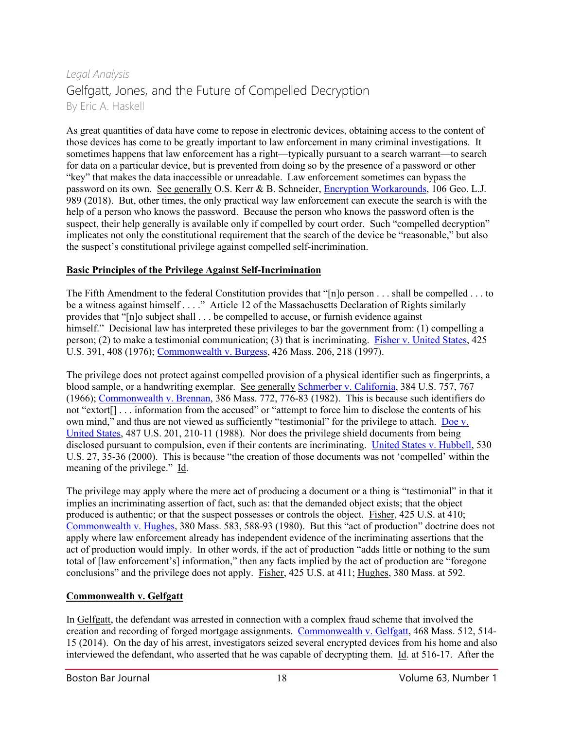# *Legal Analysis* Gelfgatt, Jones, and the Future of Compelled Decryption By Eric A. Haskell

As great quantities of data have come to repose in electronic devices, obtaining access to the content of those devices has come to be greatly important to law enforcement in many criminal investigations. It sometimes happens that law enforcement has a right—typically pursuant to a search warrant—to search for data on a particular device, but is prevented from doing so by the presence of a password or other "key" that makes the data inaccessible or unreadable. Law enforcement sometimes can bypass the password on its own. See generally O.S. Kerr & B. Schneider, [Encryption Workarounds,](https://papers.ssrn.com/sol3/papers.cfm?abstract_id=2938033) 106 Geo. L.J. 989 (2018). But, other times, the only practical way law enforcement can execute the search is with the help of a person who knows the password. Because the person who knows the password often is the suspect, their help generally is available only if compelled by court order. Such "compelled decryption" implicates not only the constitutional requirement that the search of the device be "reasonable," but also the suspect's constitutional privilege against compelled self-incrimination.

## **Basic Principles of the Privilege Against Self-Incrimination**

The Fifth Amendment to the federal Constitution provides that "[n]o person . . . shall be compelled . . . to be a witness against himself . . . ." Article 12 of the Massachusetts Declaration of Rights similarly provides that "[n]o subject shall . . . be compelled to accuse, or furnish evidence against himself." Decisional law has interpreted these privileges to bar the government from: (1) compelling a person; (2) to make a testimonial communication; (3) that is incriminating. [Fisher v. United States,](https://caselaw.findlaw.com/us-supreme-court/425/391.html) 425 U.S. 391, 408 (1976)[; Commonwealth v. Burgess,](http://masscases.com/cases/sjc/426/426mass206.html) 426 Mass. 206, 218 (1997).

The privilege does not protect against compelled provision of a physical identifier such as fingerprints, a blood sample, or a handwriting exemplar. See generally [Schmerber v. California,](https://caselaw.findlaw.com/us-supreme-court/384/757.html) 384 U.S. 757, 767 (1966); [Commonwealth v. Brennan,](http://masscases.com/cases/sjc/386/386mass772.html) 386 Mass. 772, 776-83 (1982). This is because such identifiers do not "extort[] . . . information from the accused" or "attempt to force him to disclose the contents of his own mind," and thus are not viewed as sufficiently "testimonial" for the privilege to attach. Doe v. [United States,](https://caselaw.findlaw.com/us-supreme-court/487/201.html) 487 U.S. 201, 210-11 (1988). Nor does the privilege shield documents from being disclosed pursuant to compulsion, even if their contents are incriminating. [United States v. Hubbell,](https://caselaw.findlaw.com/us-supreme-court/530/27.html) 530 U.S. 27, 35-36 (2000). This is because "the creation of those documents was not 'compelled' within the meaning of the privilege." Id.

The privilege may apply where the mere act of producing a document or a thing is "testimonial" in that it implies an incriminating assertion of fact, such as: that the demanded object exists; that the object produced is authentic; or that the suspect possesses or controls the object. Fisher, 425 U.S. at 410; [Commonwealth v. Hughes,](http://masscases.com/cases/sjc/380/380mass583.html) 380 Mass. 583, 588-93 (1980). But this "act of production" doctrine does not apply where law enforcement already has independent evidence of the incriminating assertions that the act of production would imply. In other words, if the act of production "adds little or nothing to the sum total of [law enforcement's] information," then any facts implied by the act of production are "foregone conclusions" and the privilege does not apply. Fisher, 425 U.S. at 411; Hughes, 380 Mass. at 592.

### **Commonwealth v. Gelfgatt**

In Gelfgatt, the defendant was arrested in connection with a complex fraud scheme that involved the creation and recording of forged mortgage assignments. [Commonwealth v. Gelfgatt,](http://masscases.com/cases/sjc/468/468mass512.html) 468 Mass. 512, 514- 15 (2014). On the day of his arrest, investigators seized several encrypted devices from his home and also interviewed the defendant, who asserted that he was capable of decrypting them. Id. at 516-17. After the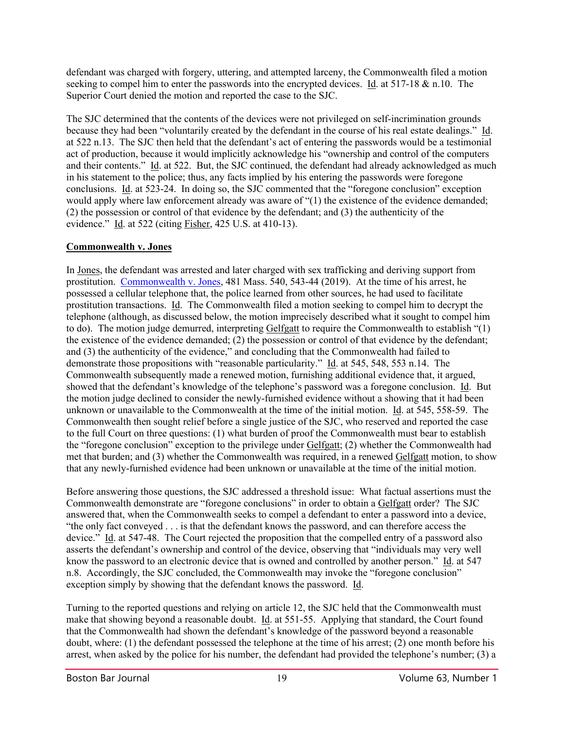defendant was charged with forgery, uttering, and attempted larceny, the Commonwealth filed a motion seeking to compel him to enter the passwords into the encrypted devices. Id. at 517-18 & n.10. The Superior Court denied the motion and reported the case to the SJC.

The SJC determined that the contents of the devices were not privileged on self-incrimination grounds because they had been "voluntarily created by the defendant in the course of his real estate dealings." Id. at 522 n.13. The SJC then held that the defendant's act of entering the passwords would be a testimonial act of production, because it would implicitly acknowledge his "ownership and control of the computers and their contents." Id. at 522. But, the SJC continued, the defendant had already acknowledged as much in his statement to the police; thus, any facts implied by his entering the passwords were foregone conclusions. Id. at 523-24. In doing so, the SJC commented that the "foregone conclusion" exception would apply where law enforcement already was aware of "(1) the existence of the evidence demanded; (2) the possession or control of that evidence by the defendant; and (3) the authenticity of the evidence." Id. at 522 (citing Fisher, 425 U.S. at 410-13).

## **Commonwealth v. Jones**

In Jones, the defendant was arrested and later charged with sex trafficking and deriving support from prostitution. [Commonwealth v. Jones,](http://masscases.com/cases/sjc/481/481mass540.html) 481 Mass. 540, 543-44 (2019). At the time of his arrest, he possessed a cellular telephone that, the police learned from other sources, he had used to facilitate prostitution transactions. Id. The Commonwealth filed a motion seeking to compel him to decrypt the telephone (although, as discussed below, the motion imprecisely described what it sought to compel him to do). The motion judge demurred, interpreting Gelfgatt to require the Commonwealth to establish "(1) the existence of the evidence demanded; (2) the possession or control of that evidence by the defendant; and (3) the authenticity of the evidence," and concluding that the Commonwealth had failed to demonstrate those propositions with "reasonable particularity." Id. at 545, 548, 553 n.14. The Commonwealth subsequently made a renewed motion, furnishing additional evidence that, it argued, showed that the defendant's knowledge of the telephone's password was a foregone conclusion. Id. But the motion judge declined to consider the newly-furnished evidence without a showing that it had been unknown or unavailable to the Commonwealth at the time of the initial motion. Id. at 545, 558-59. The Commonwealth then sought relief before a single justice of the SJC, who reserved and reported the case to the full Court on three questions: (1) what burden of proof the Commonwealth must bear to establish the "foregone conclusion" exception to the privilege under Gelfgatt; (2) whether the Commonwealth had met that burden; and (3) whether the Commonwealth was required, in a renewed Gelfgatt motion, to show that any newly-furnished evidence had been unknown or unavailable at the time of the initial motion.

Before answering those questions, the SJC addressed a threshold issue: What factual assertions must the Commonwealth demonstrate are "foregone conclusions" in order to obtain a Gelfgatt order? The SJC answered that, when the Commonwealth seeks to compel a defendant to enter a password into a device, "the only fact conveyed . . . is that the defendant knows the password, and can therefore access the device." Id. at 547-48. The Court rejected the proposition that the compelled entry of a password also asserts the defendant's ownership and control of the device, observing that "individuals may very well know the password to an electronic device that is owned and controlled by another person." Id. at 547 n.8. Accordingly, the SJC concluded, the Commonwealth may invoke the "foregone conclusion" exception simply by showing that the defendant knows the password. Id.

Turning to the reported questions and relying on article 12, the SJC held that the Commonwealth must make that showing beyond a reasonable doubt. Id. at 551-55. Applying that standard, the Court found that the Commonwealth had shown the defendant's knowledge of the password beyond a reasonable doubt, where: (1) the defendant possessed the telephone at the time of his arrest; (2) one month before his arrest, when asked by the police for his number, the defendant had provided the telephone's number; (3) a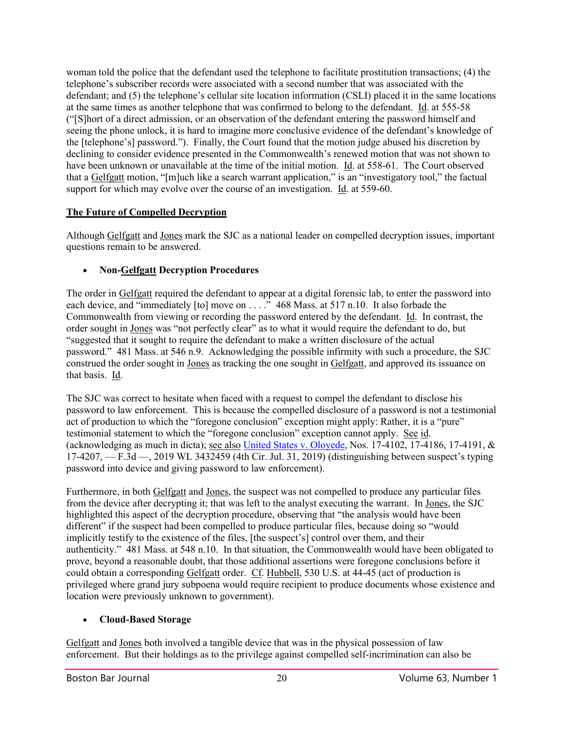woman told the police that the defendant used the telephone to facilitate prostitution transactions; (4) the telephone's subscriber records were associated with a second number that was associated with the defendant; and (5) the telephone's cellular site location information (CSLI) placed it in the same locations at the same times as another telephone that was confirmed to belong to the defendant. Id. at 555-58 ("[S]hort of a direct admission, or an observation of the defendant entering the password himself and seeing the phone unlock, it is hard to imagine more conclusive evidence of the defendant's knowledge of the [telephone's] password."). Finally, the Court found that the motion judge abused his discretion by declining to consider evidence presented in the Commonwealth's renewed motion that was not shown to have been unknown or unavailable at the time of the initial motion. Id. at 558-61. The Court observed that a Gelfgatt motion, "[m]uch like a search warrant application," is an "investigatory tool," the factual support for which may evolve over the course of an investigation. Id. at 559-60.

## **The Future of Compelled Decryption**

Although Gelfgatt and Jones mark the SJC as a national leader on compelled decryption issues, important questions remain to be answered.

# • **Non-Gelfgatt Decryption Procedures**

The order in Gelfgatt required the defendant to appear at a digital forensic lab, to enter the password into each device, and "immediately [to] move on . . . . " 468 Mass. at 517 n.10. It also forbade the Commonwealth from viewing or recording the password entered by the defendant. Id. In contrast, the order sought in Jones was "not perfectly clear" as to what it would require the defendant to do, but "suggested that it sought to require the defendant to make a written disclosure of the actual password." 481 Mass. at 546 n.9. Acknowledging the possible infirmity with such a procedure, the SJC construed the order sought in Jones as tracking the one sought in Gelfgatt, and approved its issuance on that basis. Id.

The SJC was correct to hesitate when faced with a request to compel the defendant to disclose his password to law enforcement. This is because the compelled disclosure of a password is not a testimonial act of production to which the "foregone conclusion" exception might apply: Rather, it is a "pure" testimonial statement to which the "foregone conclusion" exception cannot apply. See id. (acknowledging as much in dicta); see also [United States v. Oloyede,](https://law.justia.com/cases/federal/appellate-courts/ca4/17-4102/17-4102-2019-07-31.html) Nos. 17-4102, 17-4186, 17-4191, & 17-4207, — F.3d —, 2019 WL 3432459 (4th Cir. Jul. 31, 2019) (distinguishing between suspect's typing password into device and giving password to law enforcement).

Furthermore, in both Gelfgatt and Jones, the suspect was not compelled to produce any particular files from the device after decrypting it; that was left to the analyst executing the warrant. In Jones, the SJC highlighted this aspect of the decryption procedure, observing that "the analysis would have been different" if the suspect had been compelled to produce particular files, because doing so "would implicitly testify to the existence of the files, [the suspect's] control over them, and their authenticity." 481 Mass. at 548 n.10. In that situation, the Commonwealth would have been obligated to prove, beyond a reasonable doubt, that those additional assertions were foregone conclusions before it could obtain a corresponding Gelfgatt order. Cf. Hubbell, 530 U.S. at 44-45 (act of production is privileged where grand jury subpoena would require recipient to produce documents whose existence and location were previously unknown to government).

### • **Cloud-Based Storage**

Gelfgatt and Jones both involved a tangible device that was in the physical possession of law enforcement. But their holdings as to the privilege against compelled self-incrimination can also be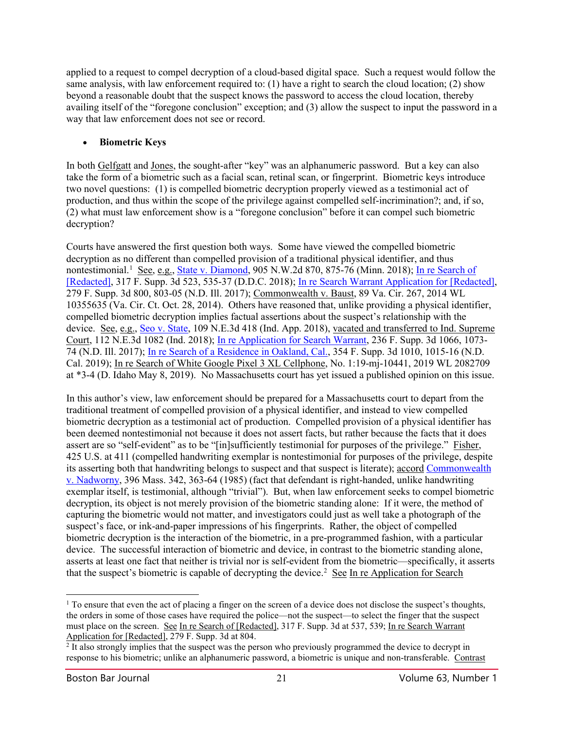applied to a request to compel decryption of a cloud-based digital space. Such a request would follow the same analysis, with law enforcement required to: (1) have a right to search the cloud location; (2) show beyond a reasonable doubt that the suspect knows the password to access the cloud location, thereby availing itself of the "foregone conclusion" exception; and (3) allow the suspect to input the password in a way that law enforcement does not see or record.

#### • **Biometric Keys**

In both Gelfgatt and Jones, the sought-after "key" was an alphanumeric password. But a key can also take the form of a biometric such as a facial scan, retinal scan, or fingerprint. Biometric keys introduce two novel questions: (1) is compelled biometric decryption properly viewed as a testimonial act of production, and thus within the scope of the privilege against compelled self-incrimination?; and, if so, (2) what must law enforcement show is a "foregone conclusion" before it can compel such biometric decryption?

Courts have answered the first question both ways. Some have viewed the compelled biometric decryption as no different than compelled provision of a traditional physical identifier, and thus nontestimonial.<sup>[1](#page-20-0)</sup> See, e.g., [State v. Diamond,](https://casetext.com/case/state-v-diamond-38) 905 N.W.2d 870, 875-76 (Minn. 2018); In re Search of [\[Redacted\],](https://www.leagle.com/decision/317186531fsupp3d52349) 317 F. Supp. 3d 523, 535-37 (D.D.C. 2018); [In re Search Warrant Application for \[Redacted\],](https://www.leagle.com/decision/infdco20171011995) 279 F. Supp. 3d 800, 803-05 (N.D. Ill. 2017); Commonwealth v. Baust, 89 Va. Cir. 267, 2014 WL 10355635 (Va. Cir. Ct. Oct. 28, 2014). Others have reasoned that, unlike providing a physical identifier, compelled biometric decryption implies factual assertions about the suspect's relationship with the device. See, e.g.[, Seo v. State,](https://www.leagle.com/decision/ininco20180821261) 109 N.E.3d 418 (Ind. App. 2018), vacated and transferred to Ind. Supreme Court, 112 N.E.3d 1082 (Ind. 2018); [In re Application for Search Warrant,](https://www.leagle.com/decision/infdco20170222d65) 236 F. Supp. 3d 1066, 1073- 74 (N.D. Ill. 2017); [In re Search of a Residence in Oakland, Cal.,](https://www.leagle.com/decision/infdco20190111b25) 354 F. Supp. 3d 1010, 1015-16 (N.D. Cal. 2019); In re Search of White Google Pixel 3 XL Cellphone, No. 1:19-mj-10441, 2019 WL 2082709 at \*3-4 (D. Idaho May 8, 2019). No Massachusetts court has yet issued a published opinion on this issue.

In this author's view, law enforcement should be prepared for a Massachusetts court to depart from the traditional treatment of compelled provision of a physical identifier, and instead to view compelled biometric decryption as a testimonial act of production. Compelled provision of a physical identifier has been deemed nontestimonial not because it does not assert facts, but rather because the facts that it does assert are so "self-evident" as to be "[in]sufficiently testimonial for purposes of the privilege." Fisher, 425 U.S. at 411 (compelled handwriting exemplar is nontestimonial for purposes of the privilege, despite its asserting both that handwriting belongs to suspect and that suspect is literate); accord [Commonwealth](http://masscases.com/cases/sjc/396/396mass342.html)  [v. Nadworny,](http://masscases.com/cases/sjc/396/396mass342.html) 396 Mass. 342, 363-64 (1985) (fact that defendant is right-handed, unlike handwriting exemplar itself, is testimonial, although "trivial"). But, when law enforcement seeks to compel biometric decryption, its object is not merely provision of the biometric standing alone: If it were, the method of capturing the biometric would not matter, and investigators could just as well take a photograph of the suspect's face, or ink-and-paper impressions of his fingerprints. Rather, the object of compelled biometric decryption is the interaction of the biometric, in a pre-programmed fashion, with a particular device. The successful interaction of biometric and device, in contrast to the biometric standing alone, asserts at least one fact that neither is trivial nor is self-evident from the biometric—specifically, it asserts that the suspect's biometric is capable of decrypting the device.<sup>[2](#page-20-1)</sup> See In re Application for Search

<span id="page-20-0"></span> $1$  To ensure that even the act of placing a finger on the screen of a device does not disclose the suspect's thoughts, the orders in some of those cases have required the police—not the suspect—to select the finger that the suspect must place on the screen. See In re Search of [Redacted], 317 F. Supp. 3d at 537, 539; In re Search Warrant Application for [Redacted], 279 F. Supp. 3d at 804.

<span id="page-20-1"></span> $2$  It also strongly implies that the suspect was the person who previously programmed the device to decrypt in response to his biometric; unlike an alphanumeric password, a biometric is unique and non-transferable. Contrast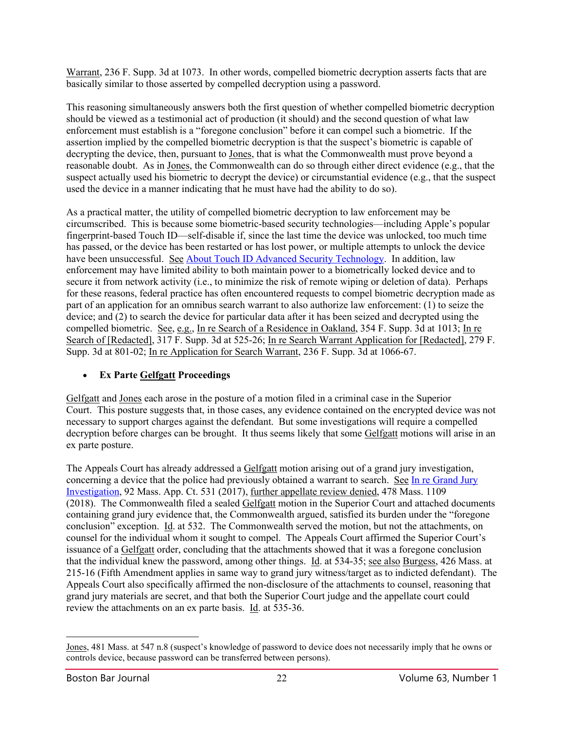Warrant, 236 F. Supp. 3d at 1073. In other words, compelled biometric decryption asserts facts that are basically similar to those asserted by compelled decryption using a password.

This reasoning simultaneously answers both the first question of whether compelled biometric decryption should be viewed as a testimonial act of production (it should) and the second question of what law enforcement must establish is a "foregone conclusion" before it can compel such a biometric. If the assertion implied by the compelled biometric decryption is that the suspect's biometric is capable of decrypting the device, then, pursuant to Jones, that is what the Commonwealth must prove beyond a reasonable doubt. As in Jones, the Commonwealth can do so through either direct evidence (e.g., that the suspect actually used his biometric to decrypt the device) or circumstantial evidence (e.g., that the suspect used the device in a manner indicating that he must have had the ability to do so).

As a practical matter, the utility of compelled biometric decryption to law enforcement may be circumscribed. This is because some biometric-based security technologies—including Apple's popular fingerprint-based Touch ID—self-disable if, since the last time the device was unlocked, too much time has passed, or the device has been restarted or has lost power, or multiple attempts to unlock the device have been unsuccessful. See [About Touch ID Advanced Security Technology.](https://support.apple.com/en-us/HT204587) In addition, law enforcement may have limited ability to both maintain power to a biometrically locked device and to secure it from network activity (i.e., to minimize the risk of remote wiping or deletion of data). Perhaps for these reasons, federal practice has often encountered requests to compel biometric decryption made as part of an application for an omnibus search warrant to also authorize law enforcement: (1) to seize the device; and (2) to search the device for particular data after it has been seized and decrypted using the compelled biometric. See, e.g., In re Search of a Residence in Oakland, 354 F. Supp. 3d at 1013; In re Search of [Redacted], 317 F. Supp. 3d at 525-26; In re Search Warrant Application for [Redacted], 279 F. Supp. 3d at 801-02; In re Application for Search Warrant, 236 F. Supp. 3d at 1066-67.

# • **Ex Parte Gelfgatt Proceedings**

Gelfgatt and Jones each arose in the posture of a motion filed in a criminal case in the Superior Court. This posture suggests that, in those cases, any evidence contained on the encrypted device was not necessary to support charges against the defendant. But some investigations will require a compelled decryption before charges can be brought. It thus seems likely that some Gelfgatt motions will arise in an ex parte posture.

The Appeals Court has already addressed a Gelfgatt motion arising out of a grand jury investigation, concerning a device that the police had previously obtained a warrant to search. See In re Grand Jury [Investigation,](http://masscases.com/cases/app/92/92massappct531.html) 92 Mass. App. Ct. 531 (2017), further appellate review denied, 478 Mass. 1109 (2018). The Commonwealth filed a sealed Gelfgatt motion in the Superior Court and attached documents containing grand jury evidence that, the Commonwealth argued, satisfied its burden under the "foregone conclusion" exception. Id. at 532. The Commonwealth served the motion, but not the attachments, on counsel for the individual whom it sought to compel. The Appeals Court affirmed the Superior Court's issuance of a Gelfgatt order, concluding that the attachments showed that it was a foregone conclusion that the individual knew the password, among other things. Id. at 534-35; see also Burgess, 426 Mass. at 215-16 (Fifth Amendment applies in same way to grand jury witness/target as to indicted defendant). The Appeals Court also specifically affirmed the non-disclosure of the attachments to counsel, reasoning that grand jury materials are secret, and that both the Superior Court judge and the appellate court could review the attachments on an ex parte basis. Id. at 535-36.

Jones, 481 Mass. at 547 n.8 (suspect's knowledge of password to device does not necessarily imply that he owns or controls device, because password can be transferred between persons).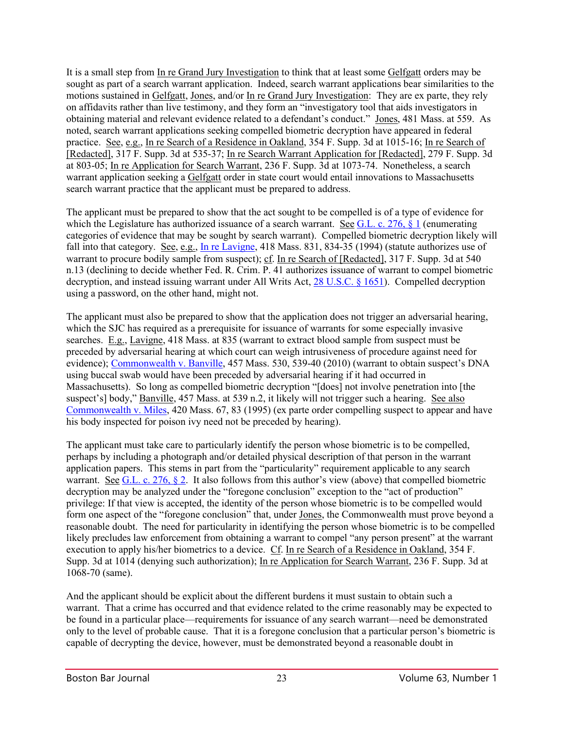It is a small step from In re Grand Jury Investigation to think that at least some Gelfgatt orders may be sought as part of a search warrant application. Indeed, search warrant applications bear similarities to the motions sustained in Gelfgatt, Jones, and/or In re Grand Jury Investigation: They are ex parte, they rely on affidavits rather than live testimony, and they form an "investigatory tool that aids investigators in obtaining material and relevant evidence related to a defendant's conduct." Jones, 481 Mass. at 559. As noted, search warrant applications seeking compelled biometric decryption have appeared in federal practice. See, e.g., In re Search of a Residence in Oakland, 354 F. Supp. 3d at 1015-16; In re Search of [Redacted], 317 F. Supp. 3d at 535-37; In re Search Warrant Application for [Redacted], 279 F. Supp. 3d at 803-05; In re Application for Search Warrant, 236 F. Supp. 3d at 1073-74. Nonetheless, a search warrant application seeking a Gelfgatt order in state court would entail innovations to Massachusetts search warrant practice that the applicant must be prepared to address.

The applicant must be prepared to show that the act sought to be compelled is of a type of evidence for which the Legislature has authorized issuance of a search warrant. See G.L. c. 276,  $\S$  1 (enumerating categories of evidence that may be sought by search warrant). Compelled biometric decryption likely will fall into that category. See, e.g., [In re Lavigne,](http://masscases.com/cases/sjc/418/418mass831.html) 418 Mass. 831, 834-35 (1994) (statute authorizes use of warrant to procure bodily sample from suspect); cf. In re Search of [Redacted], 317 F. Supp. 3d at 540 n.13 (declining to decide whether Fed. R. Crim. P. 41 authorizes issuance of warrant to compel biometric decryption, and instead issuing warrant under All Writs Act, [28 U.S.C. § 1651\)](https://www.law.cornell.edu/uscode/text/28/1651). Compelled decryption using a password, on the other hand, might not.

The applicant must also be prepared to show that the application does not trigger an adversarial hearing, which the SJC has required as a prerequisite for issuance of warrants for some especially invasive searches. E.g., Lavigne, 418 Mass. at 835 (warrant to extract blood sample from suspect must be preceded by adversarial hearing at which court can weigh intrusiveness of procedure against need for evidence); [Commonwealth v. Banville,](http://masscases.com/cases/sjc/457/457mass530.html) 457 Mass. 530, 539-40 (2010) (warrant to obtain suspect's DNA using buccal swab would have been preceded by adversarial hearing if it had occurred in Massachusetts). So long as compelled biometric decryption "[does] not involve penetration into [the suspect's] body," Banville, 457 Mass. at 539 n.2, it likely will not trigger such a hearing. See also [Commonwealth v. Miles,](http://masscases.com/cases/sjc/420/420mass67.html) 420 Mass. 67, 83 (1995) (ex parte order compelling suspect to appear and have his body inspected for poison ivy need not be preceded by hearing).

The applicant must take care to particularly identify the person whose biometric is to be compelled, perhaps by including a photograph and/or detailed physical description of that person in the warrant application papers. This stems in part from the "particularity" requirement applicable to any search warrant. See [G.L. c. 276, § 2.](https://malegislature.gov/laws/generallaws/partiv/titleii/chapter276/section2) It also follows from this author's view (above) that compelled biometric decryption may be analyzed under the "foregone conclusion" exception to the "act of production" privilege: If that view is accepted, the identity of the person whose biometric is to be compelled would form one aspect of the "foregone conclusion" that, under Jones, the Commonwealth must prove beyond a reasonable doubt. The need for particularity in identifying the person whose biometric is to be compelled likely precludes law enforcement from obtaining a warrant to compel "any person present" at the warrant execution to apply his/her biometrics to a device. Cf. In re Search of a Residence in Oakland, 354 F. Supp. 3d at 1014 (denying such authorization); In re Application for Search Warrant, 236 F. Supp. 3d at 1068-70 (same).

And the applicant should be explicit about the different burdens it must sustain to obtain such a warrant. That a crime has occurred and that evidence related to the crime reasonably may be expected to be found in a particular place—requirements for issuance of any search warrant—need be demonstrated only to the level of probable cause. That it is a foregone conclusion that a particular person's biometric is capable of decrypting the device, however, must be demonstrated beyond a reasonable doubt in